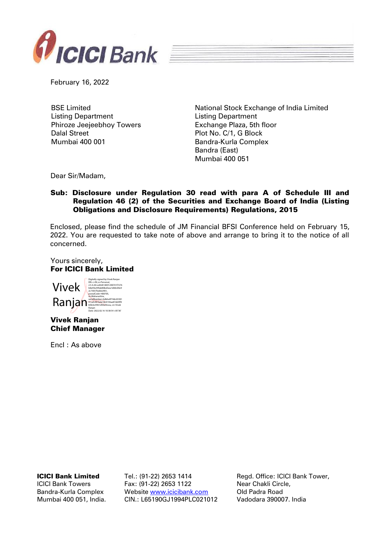

February 16, 2022

BSE Limited Listing Department Phiroze Jeejeebhoy Towers Dalal Street Mumbai 400 001

National Stock Exchange of India Limited Listing Department Exchange Plaza, 5th floor Plot No. C/1, G Block Bandra-Kurla Complex Bandra (East) Mumbai 400 051

Dear Sir/Madam,

## Sub: Disclosure under Regulation 30 read with para A of Schedule III and Regulation 46 (2) of the Securities and Exchange Board of India (Listing Obligations and Disclosure Requirements) Regulations, 2015

Enclosed, please find the schedule of JM Financial BFSI Conference held on February 15, 2022. You are requested to take note of above and arrange to bring it to the notice of all concerned.

Yours sincerely, For ICICI Bank Limited



Vivek Ranjan Chief Manager

Encl : As above

ICICI Bank Limited

ICICI Bank Towers Bandra-Kurla Complex Mumbai 400 051, India. Tel.: (91-22) 2653 1414 Fax: (91-22) 2653 1122 Website [www.icicibank.com](http://www.icicibank.com/) CIN.: L65190GJ1994PLC021012

Regd. Office: ICICI Bank Tower, Near Chakli Circle, Old Padra Road Vadodara 390007. India